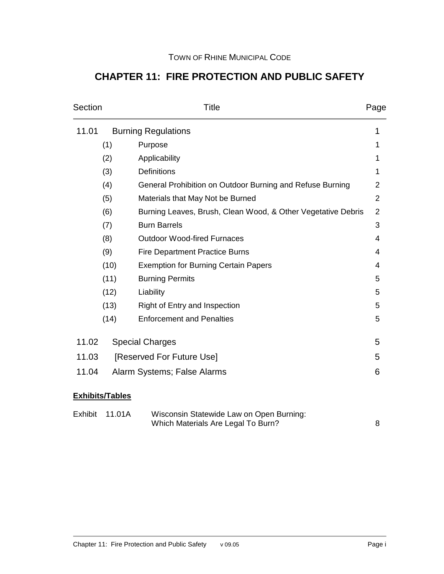## TOWN OF RHINE MUNICIPAL CODE

# **CHAPTER 11: FIRE PROTECTION AND PUBLIC SAFETY**

| Section                |                        | <b>Title</b>                                                 |                |  |
|------------------------|------------------------|--------------------------------------------------------------|----------------|--|
| 11.01                  |                        | <b>Burning Regulations</b>                                   |                |  |
|                        | (1)                    | Purpose                                                      | 1              |  |
|                        | (2)                    | Applicability                                                | 1              |  |
|                        | (3)                    | <b>Definitions</b>                                           | 1              |  |
|                        | (4)                    | General Prohibition on Outdoor Burning and Refuse Burning    | $\overline{2}$ |  |
|                        | (5)                    | Materials that May Not be Burned                             | $\overline{2}$ |  |
|                        | (6)                    | Burning Leaves, Brush, Clean Wood, & Other Vegetative Debris | $\overline{2}$ |  |
|                        | (7)                    | <b>Burn Barrels</b>                                          | 3              |  |
|                        | (8)                    | <b>Outdoor Wood-fired Furnaces</b>                           | 4              |  |
|                        | (9)                    | <b>Fire Department Practice Burns</b>                        | 4              |  |
|                        | (10)                   | <b>Exemption for Burning Certain Papers</b>                  | 4              |  |
|                        | (11)                   | <b>Burning Permits</b>                                       | 5              |  |
|                        | (12)                   | Liability                                                    | 5              |  |
|                        | (13)                   | Right of Entry and Inspection                                | 5              |  |
|                        | (14)                   | <b>Enforcement and Penalties</b>                             | 5              |  |
| 11.02                  | <b>Special Charges</b> |                                                              | 5              |  |
| 11.03                  |                        | [Reserved For Future Use]                                    | 5              |  |
| 11.04                  |                        | Alarm Systems; False Alarms                                  | 6              |  |
| <b>Exhibits/Tables</b> |                        |                                                              |                |  |
|                        |                        | M!<br>$\sim$ $\sim$ $\sim$ $\sim$<br>. n                     |                |  |

|  | Exhibit 11.01A | Wisconsin Statewide Law on Open Burning: |  |
|--|----------------|------------------------------------------|--|
|  |                | Which Materials Are Legal To Burn?       |  |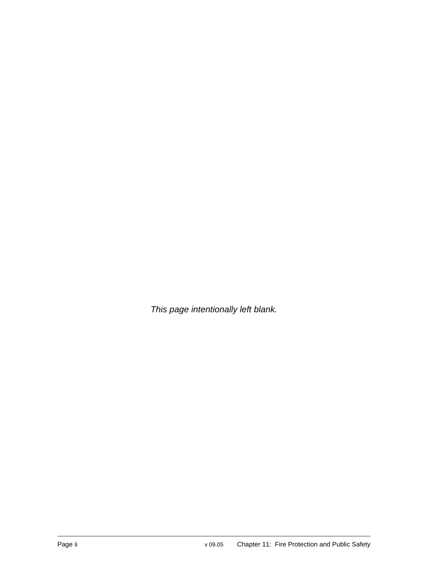*This page intentionally left blank.*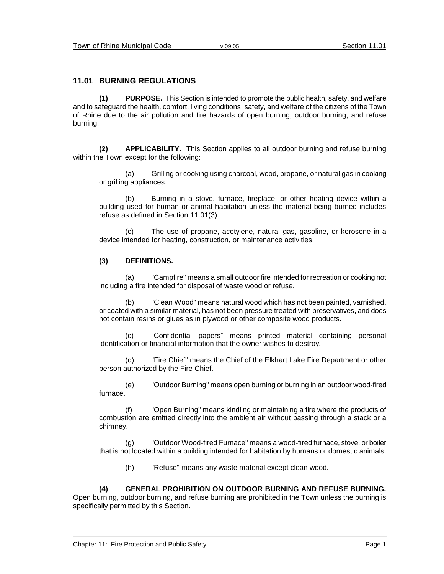#### **11.01 BURNING REGULATIONS**

**(1) PURPOSE.** This Section is intended to promote the public health, safety, and welfare and to safeguard the health, comfort, living conditions, safety, and welfare of the citizens of the Town of Rhine due to the air pollution and fire hazards of open burning, outdoor burning, and refuse burning.

**(2) APPLICABILITY.** This Section applies to all outdoor burning and refuse burning within the Town except for the following:

(a) Grilling or cooking using charcoal, wood, propane, or natural gas in cooking or grilling appliances.

(b) Burning in a stove, furnace, fireplace, or other heating device within a building used for human or animal habitation unless the material being burned includes refuse as defined in Section 11.01(3).

(c) The use of propane, acetylene, natural gas, gasoline, or kerosene in a device intended for heating, construction, or maintenance activities.

#### **(3) DEFINITIONS.**

(a) "Campfire" means a small outdoor fire intended for recreation or cooking not including a fire intended for disposal of waste wood or refuse.

(b) "Clean Wood" means natural wood which has not been painted, varnished, or coated with a similar material, has not been pressure treated with preservatives, and does not contain resins or glues as in plywood or other composite wood products.

(c) "Confidential papers" means printed material containing personal identification or financial information that the owner wishes to destroy.

(d) "Fire Chief" means the Chief of the Elkhart Lake Fire Department or other person authorized by the Fire Chief.

(e) "Outdoor Burning" means open burning or burning in an outdoor wood-fired furnace.

"Open Burning" means kindling or maintaining a fire where the products of combustion are emitted directly into the ambient air without passing through a stack or a chimney.

(g) "Outdoor Wood-fired Furnace" means a wood-fired furnace, stove, or boiler that is not located within a building intended for habitation by humans or domestic animals.

(h) "Refuse" means any waste material except clean wood.

#### **(4) GENERAL PROHIBITION ON OUTDOOR BURNING AND REFUSE BURNING.**

Open burning, outdoor burning, and refuse burning are prohibited in the Town unless the burning is specifically permitted by this Section.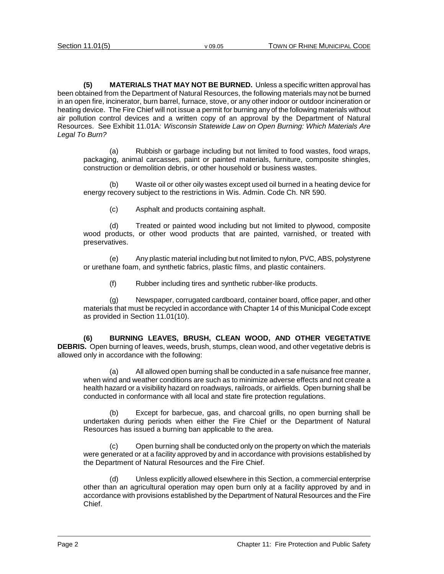**(5) MATERIALS THAT MAY NOT BE BURNED.** Unless a specific written approval has been obtained from the Department of Natural Resources, the following materials may not be burned in an open fire, incinerator, burn barrel, furnace, stove, or any other indoor or outdoor incineration or heating device. The Fire Chief will not issue a permit for burning any of the following materials without air pollution control devices and a written copy of an approval by the Department of Natural Resources. See Exhibit 11.01A*: Wisconsin Statewide Law on Open Burning: Which Materials Are Legal To Burn?*

(a) Rubbish or garbage including but not limited to food wastes, food wraps, packaging, animal carcasses, paint or painted materials, furniture, composite shingles, construction or demolition debris, or other household or business wastes.

(b) Waste oil or other oily wastes except used oil burned in a heating device for energy recovery subject to the restrictions in Wis. Admin. Code Ch. NR 590.

(c) Asphalt and products containing asphalt.

(d) Treated or painted wood including but not limited to plywood, composite wood products, or other wood products that are painted, varnished, or treated with preservatives.

(e) Any plastic material including but not limited to nylon, PVC, ABS, polystyrene or urethane foam, and synthetic fabrics, plastic films, and plastic containers.

(f) Rubber including tires and synthetic rubber-like products.

(g) Newspaper, corrugated cardboard, container board, office paper, and other materials that must be recycled in accordance with Chapter 14 of this Municipal Code except as provided in Section 11.01(10).

**(6) BURNING LEAVES, BRUSH, CLEAN WOOD, AND OTHER VEGETATIVE DEBRIS.** Open burning of leaves, weeds, brush, stumps, clean wood, and other vegetative debris is allowed only in accordance with the following:

(a) All allowed open burning shall be conducted in a safe nuisance free manner, when wind and weather conditions are such as to minimize adverse effects and not create a health hazard or a visibility hazard on roadways, railroads, or airfields. Open burning shall be conducted in conformance with all local and state fire protection regulations.

(b) Except for barbecue, gas, and charcoal grills, no open burning shall be undertaken during periods when either the Fire Chief or the Department of Natural Resources has issued a burning ban applicable to the area.

(c) Open burning shall be conducted only on the property on which the materials were generated or at a facility approved by and in accordance with provisions established by the Department of Natural Resources and the Fire Chief.

(d) Unless explicitly allowed elsewhere in this Section, a commercial enterprise other than an agricultural operation may open burn only at a facility approved by and in accordance with provisions established by the Department of Natural Resources and the Fire Chief.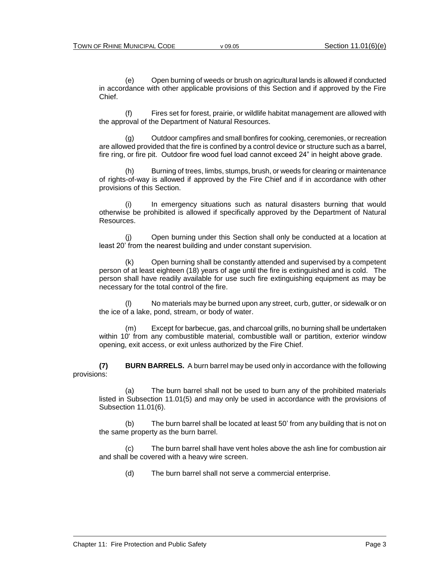(e) Open burning of weeds or brush on agricultural lands is allowed if conducted in accordance with other applicable provisions of this Section and if approved by the Fire Chief.

(f) Fires set for forest, prairie, or wildlife habitat management are allowed with the approval of the Department of Natural Resources.

(g) Outdoor campfires and small bonfires for cooking, ceremonies, or recreation are allowed provided that the fire is confined by a control device or structure such as a barrel, fire ring, or fire pit. Outdoor fire wood fuel load cannot exceed 24" in height above grade.

(h) Burning of trees, limbs, stumps, brush, or weeds for clearing or maintenance of rights-of-way is allowed if approved by the Fire Chief and if in accordance with other provisions of this Section.

(i) In emergency situations such as natural disasters burning that would otherwise be prohibited is allowed if specifically approved by the Department of Natural Resources.

(j) Open burning under this Section shall only be conducted at a location at least 20' from the nearest building and under constant supervision.

(k) Open burning shall be constantly attended and supervised by a competent person of at least eighteen (18) years of age until the fire is extinguished and is cold. The person shall have readily available for use such fire extinguishing equipment as may be necessary for the total control of the fire.

No materials may be burned upon any street, curb, gutter, or sidewalk or on the ice of a lake, pond, stream, or body of water.

(m) Except for barbecue, gas, and charcoal grills, no burning shall be undertaken within 10' from any combustible material, combustible wall or partition, exterior window opening, exit access, or exit unless authorized by the Fire Chief.

**(7) BURN BARRELS.** A burn barrel may be used only in accordance with the following provisions:

(a) The burn barrel shall not be used to burn any of the prohibited materials listed in Subsection 11.01(5) and may only be used in accordance with the provisions of Subsection 11.01(6).

(b) The burn barrel shall be located at least 50' from any building that is not on the same property as the burn barrel.

(c) The burn barrel shall have vent holes above the ash line for combustion air and shall be covered with a heavy wire screen.

(d) The burn barrel shall not serve a commercial enterprise.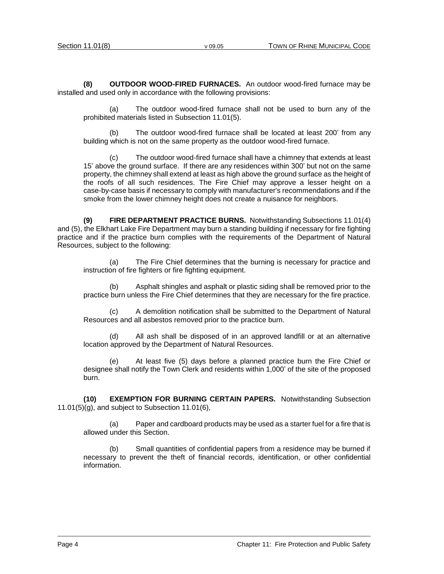**(8) OUTDOOR WOOD-FIRED FURNACES.** An outdoor wood-fired furnace may be installed and used only in accordance with the following provisions:

(a) The outdoor wood-fired furnace shall not be used to burn any of the prohibited materials listed in Subsection 11.01(5).

(b) The outdoor wood-fired furnace shall be located at least 200' from any building which is not on the same property as the outdoor wood-fired furnace.

(c) The outdoor wood-fired furnace shall have a chimney that extends at least 15' above the ground surface. If there are any residences within 300' but not on the same property, the chimney shall extend at least as high above the ground surface as the height of the roofs of all such residences. The Fire Chief may approve a lesser height on a case-by-case basis if necessary to comply with manufacturer's recommendations and if the smoke from the lower chimney height does not create a nuisance for neighbors.

**(9) FIRE DEPARTMENT PRACTICE BURNS.** Notwithstanding Subsections 11.01(4) and (5), the Elkhart Lake Fire Department may burn a standing building if necessary for fire fighting practice and if the practice burn complies with the requirements of the Department of Natural Resources, subject to the following:

(a) The Fire Chief determines that the burning is necessary for practice and instruction of fire fighters or fire fighting equipment.

(b) Asphalt shingles and asphalt or plastic siding shall be removed prior to the practice burn unless the Fire Chief determines that they are necessary for the fire practice.

(c) A demolition notification shall be submitted to the Department of Natural Resources and all asbestos removed prior to the practice burn.

(d) All ash shall be disposed of in an approved landfill or at an alternative location approved by the Department of Natural Resources.

(e) At least five (5) days before a planned practice burn the Fire Chief or designee shall notify the Town Clerk and residents within 1,000' of the site of the proposed burn.

**(10) EXEMPTION FOR BURNING CERTAIN PAPERS.** Notwithstanding Subsection 11.01(5)(g), and subject to Subsection 11.01(6),

(a) Paper and cardboard products may be used as a starter fuel for a fire that is allowed under this Section.

(b) Small quantities of confidential papers from a residence may be burned if necessary to prevent the theft of financial records, identification, or other confidential information.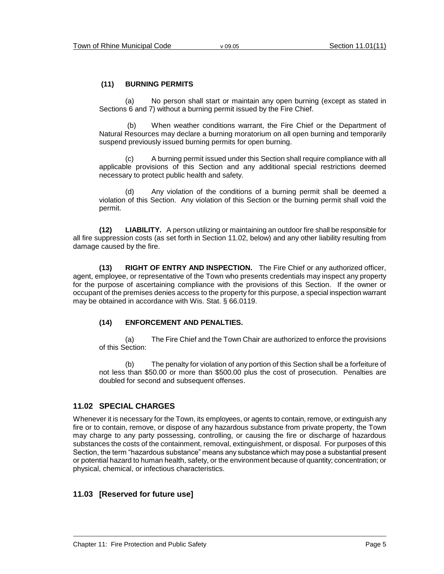#### **(11) BURNING PERMITS**

(a) No person shall start or maintain any open burning (except as stated in Sections 6 and 7) without a burning permit issued by the Fire Chief.

(b) When weather conditions warrant, the Fire Chief or the Department of Natural Resources may declare a burning moratorium on all open burning and temporarily suspend previously issued burning permits for open burning.

(c) A burning permit issued under this Section shall require compliance with all applicable provisions of this Section and any additional special restrictions deemed necessary to protect public health and safety.

(d) Any violation of the conditions of a burning permit shall be deemed a violation of this Section. Any violation of this Section or the burning permit shall void the permit.

**(12) LIABILITY.** A person utilizing or maintaining an outdoor fire shall be responsible for all fire suppression costs (as set forth in Section 11.02, below) and any other liability resulting from damage caused by the fire.

**(13) RIGHT OF ENTRY AND INSPECTION.** The Fire Chief or any authorized officer, agent, employee, or representative of the Town who presents credentials may inspect any property for the purpose of ascertaining compliance with the provisions of this Section. If the owner or occupant of the premises denies access to the property for this purpose, a special inspection warrant may be obtained in accordance with Wis. Stat. § 66.0119.

#### **(14) ENFORCEMENT AND PENALTIES.**

(a) The Fire Chief and the Town Chair are authorized to enforce the provisions of this Section:

(b) The penalty for violation of any portion of this Section shall be a forfeiture of not less than \$50.00 or more than \$500.00 plus the cost of prosecution. Penalties are doubled for second and subsequent offenses.

### **11.02 SPECIAL CHARGES**

Whenever it is necessary for the Town, its employees, or agents to contain, remove, or extinguish any fire or to contain, remove, or dispose of any hazardous substance from private property, the Town may charge to any party possessing, controlling, or causing the fire or discharge of hazardous substances the costs of the containment, removal, extinguishment, or disposal. For purposes of this Section, the term "hazardous substance" means any substance which may pose a substantial present or potential hazard to human health, safety, or the environment because of quantity; concentration; or physical, chemical, or infectious characteristics.

#### **11.03 [Reserved for future use]**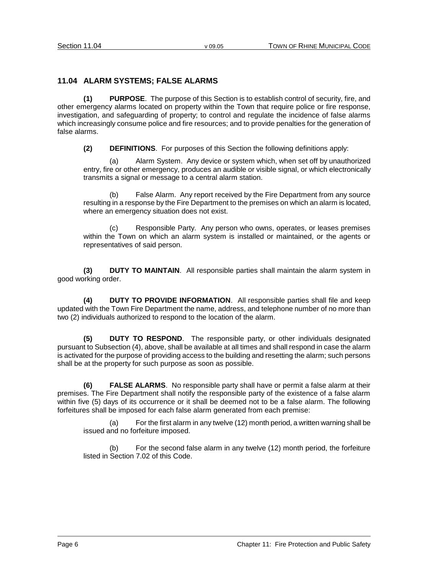#### **11.04 ALARM SYSTEMS; FALSE ALARMS**

**(1) PURPOSE**. The purpose of this Section is to establish control of security, fire, and other emergency alarms located on property within the Town that require police or fire response, investigation, and safeguarding of property; to control and regulate the incidence of false alarms which increasingly consume police and fire resources; and to provide penalties for the generation of false alarms.

**(2) DEFINITIONS**. For purposes of this Section the following definitions apply:

(a) Alarm System. Any device or system which, when set off by unauthorized entry, fire or other emergency, produces an audible or visible signal, or which electronically transmits a signal or message to a central alarm station.

(b) False Alarm. Any report received by the Fire Department from any source resulting in a response by the Fire Department to the premises on which an alarm is located, where an emergency situation does not exist.

(c) Responsible Party. Any person who owns, operates, or leases premises within the Town on which an alarm system is installed or maintained, or the agents or representatives of said person.

**(3) DUTY TO MAINTAIN**. All responsible parties shall maintain the alarm system in good working order.

**(4) DUTY TO PROVIDE INFORMATION**. All responsible parties shall file and keep updated with the Town Fire Department the name, address, and telephone number of no more than two (2) individuals authorized to respond to the location of the alarm.

**(5) DUTY TO RESPOND**. The responsible party, or other individuals designated pursuant to Subsection (4), above, shall be available at all times and shall respond in case the alarm is activated for the purpose of providing access to the building and resetting the alarm; such persons shall be at the property for such purpose as soon as possible.

**(6) FALSE ALARMS**. No responsible party shall have or permit a false alarm at their premises. The Fire Department shall notify the responsible party of the existence of a false alarm within five (5) days of its occurrence or it shall be deemed not to be a false alarm. The following forfeitures shall be imposed for each false alarm generated from each premise:

(a) For the first alarm in any twelve (12) month period, a written warning shall be issued and no forfeiture imposed.

(b) For the second false alarm in any twelve (12) month period, the forfeiture listed in Section 7.02 of this Code.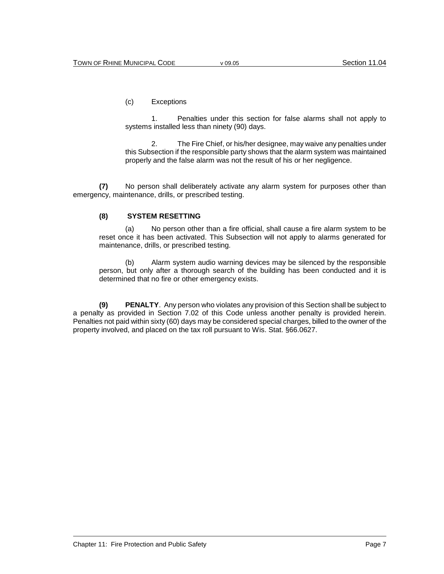(c) Exceptions

1. Penalties under this section for false alarms shall not apply to systems installed less than ninety (90) days.

2. The Fire Chief, or his/her designee, may waive any penalties under this Subsection if the responsible party shows that the alarm system was maintained properly and the false alarm was not the result of his or her negligence.

**(7)** No person shall deliberately activate any alarm system for purposes other than emergency, maintenance, drills, or prescribed testing.

#### **(8) SYSTEM RESETTING**

(a) No person other than a fire official, shall cause a fire alarm system to be reset once it has been activated. This Subsection will not apply to alarms generated for maintenance, drills, or prescribed testing.

(b) Alarm system audio warning devices may be silenced by the responsible person, but only after a thorough search of the building has been conducted and it is determined that no fire or other emergency exists.

**(9) PENALTY**. Any person who violates any provision of this Section shall be subject to a penalty as provided in Section 7.02 of this Code unless another penalty is provided herein. Penalties not paid within sixty (60) days may be considered special charges, billed to the owner of the property involved, and placed on the tax roll pursuant to Wis. Stat. §66.0627.